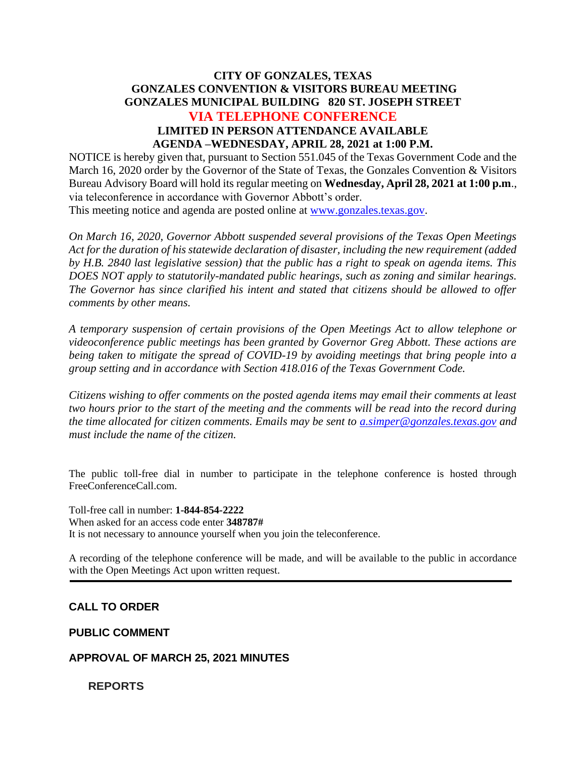# **CITY OF GONZALES, TEXAS GONZALES CONVENTION & VISITORS BUREAU MEETING GONZALES MUNICIPAL BUILDING 820 ST. JOSEPH STREET VIA TELEPHONE CONFERENCE LIMITED IN PERSON ATTENDANCE AVAILABLE AGENDA –WEDNESDAY, APRIL 28, 2021 at 1:00 P.M.**

NOTICE is hereby given that, pursuant to Section 551.045 of the Texas Government Code and the March 16, 2020 order by the Governor of the State of Texas, the Gonzales Convention & Visitors Bureau Advisory Board will hold its regular meeting on **Wednesday, April 28, 2021 at 1:00 p.m**., via teleconference in accordance with Governor Abbott's order.

This meeting notice and agenda are posted online at [www.gonzales.texas.gov.](http://www.gonzales.texas.gov/)

*On March 16, 2020, Governor Abbott suspended several provisions of the Texas Open Meetings Act for the duration of his statewide declaration of disaster, including the new requirement (added by H.B. 2840 last legislative session) that the public has a right to speak on agenda items. This DOES NOT apply to statutorily-mandated public hearings, such as zoning and similar hearings. The Governor has since clarified his intent and stated that citizens should be allowed to offer comments by other means.*

*A temporary suspension of certain provisions of the Open Meetings Act to allow telephone or videoconference public meetings has been granted by Governor Greg Abbott. These actions are being taken to mitigate the spread of COVID-19 by avoiding meetings that bring people into a group setting and in accordance with Section 418.016 of the Texas Government Code.*

*Citizens wishing to offer comments on the posted agenda items may email their comments at least two hours prior to the start of the meeting and the comments will be read into the record during the time allocated for citizen comments. Emails may be sent to [a.simper@gonzales.texas.gov](mailto:a.simper@gonzales.texas.gov) and must include the name of the citizen.*

The public toll-free dial in number to participate in the telephone conference is hosted through FreeConferenceCall.com.

Toll-free call in number: **1-844-854-2222** When asked for an access code enter **348787#** It is not necessary to announce yourself when you join the teleconference.

A recording of the telephone conference will be made, and will be available to the public in accordance with the Open Meetings Act upon written request.

### **CALL TO ORDER**

**PUBLIC COMMENT**

### **APPROVAL OF MARCH 25, 2021 MINUTES**

**REPORTS**